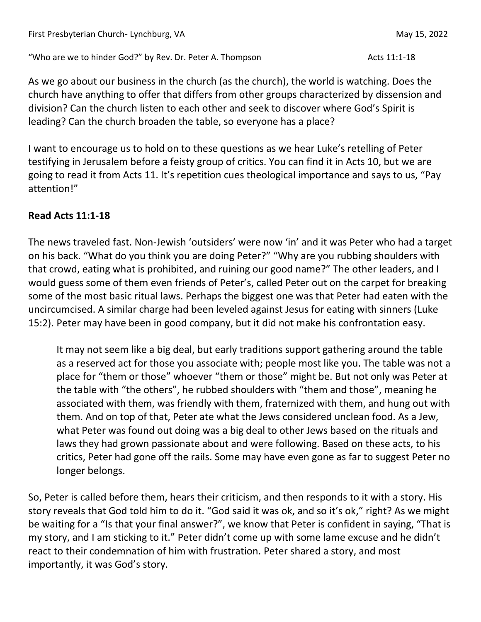"Who are we to hinder God?" by Rev. Dr. Peter A. Thompson Acts 11:1-18

As we go about our business in the church (as the church), the world is watching. Does the church have anything to offer that differs from other groups characterized by dissension and division? Can the church listen to each other and seek to discover where God's Spirit is leading? Can the church broaden the table, so everyone has a place?

I want to encourage us to hold on to these questions as we hear Luke's retelling of Peter testifying in Jerusalem before a feisty group of critics. You can find it in Acts 10, but we are going to read it from Acts 11. It's repetition cues theological importance and says to us, "Pay attention!"

## **Read Acts 11:1-18**

The news traveled fast. Non-Jewish 'outsiders' were now 'in' and it was Peter who had a target on his back. "What do you think you are doing Peter?" "Why are you rubbing shoulders with that crowd, eating what is prohibited, and ruining our good name?" The other leaders, and I would guess some of them even friends of Peter's, called Peter out on the carpet for breaking some of the most basic ritual laws. Perhaps the biggest one was that Peter had eaten with the uncircumcised. A similar charge had been leveled against Jesus for eating with sinners (Luke 15:2). Peter may have been in good company, but it did not make his confrontation easy.

It may not seem like a big deal, but early traditions support gathering around the table as a reserved act for those you associate with; people most like you. The table was not a place for "them or those" whoever "them or those" might be. But not only was Peter at the table with "the others", he rubbed shoulders with "them and those", meaning he associated with them, was friendly with them, fraternized with them, and hung out with them. And on top of that, Peter ate what the Jews considered unclean food. As a Jew, what Peter was found out doing was a big deal to other Jews based on the rituals and laws they had grown passionate about and were following. Based on these acts, to his critics, Peter had gone off the rails. Some may have even gone as far to suggest Peter no longer belongs.

So, Peter is called before them, hears their criticism, and then responds to it with a story. His story reveals that God told him to do it. "God said it was ok, and so it's ok," right? As we might be waiting for a "Is that your final answer?", we know that Peter is confident in saying, "That is my story, and I am sticking to it." Peter didn't come up with some lame excuse and he didn't react to their condemnation of him with frustration. Peter shared a story, and most importantly, it was God's story.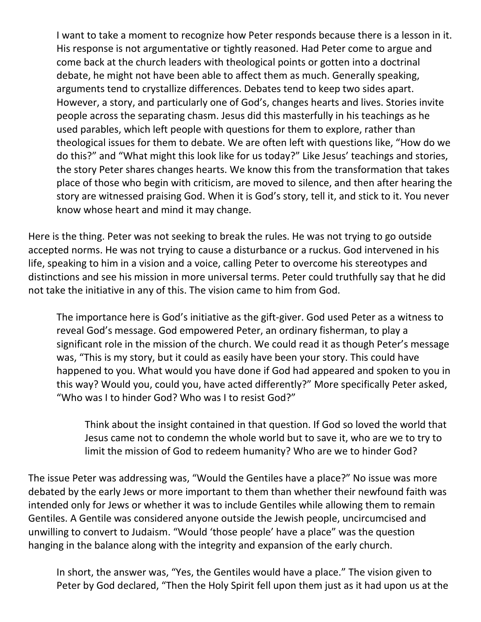I want to take a moment to recognize how Peter responds because there is a lesson in it. His response is not argumentative or tightly reasoned. Had Peter come to argue and come back at the church leaders with theological points or gotten into a doctrinal debate, he might not have been able to affect them as much. Generally speaking, arguments tend to crystallize differences. Debates tend to keep two sides apart. However, a story, and particularly one of God's, changes hearts and lives. Stories invite people across the separating chasm. Jesus did this masterfully in his teachings as he used parables, which left people with questions for them to explore, rather than theological issues for them to debate. We are often left with questions like, "How do we do this?" and "What might this look like for us today?" Like Jesus' teachings and stories, the story Peter shares changes hearts. We know this from the transformation that takes place of those who begin with criticism, are moved to silence, and then after hearing the story are witnessed praising God. When it is God's story, tell it, and stick to it. You never know whose heart and mind it may change.

Here is the thing. Peter was not seeking to break the rules. He was not trying to go outside accepted norms. He was not trying to cause a disturbance or a ruckus. God intervened in his life, speaking to him in a vision and a voice, calling Peter to overcome his stereotypes and distinctions and see his mission in more universal terms. Peter could truthfully say that he did not take the initiative in any of this. The vision came to him from God.

The importance here is God's initiative as the gift-giver. God used Peter as a witness to reveal God's message. God empowered Peter, an ordinary fisherman, to play a significant role in the mission of the church. We could read it as though Peter's message was, "This is my story, but it could as easily have been your story. This could have happened to you. What would you have done if God had appeared and spoken to you in this way? Would you, could you, have acted differently?" More specifically Peter asked, "Who was I to hinder God? Who was I to resist God?"

Think about the insight contained in that question. If God so loved the world that Jesus came not to condemn the whole world but to save it, who are we to try to limit the mission of God to redeem humanity? Who are we to hinder God?

The issue Peter was addressing was, "Would the Gentiles have a place?" No issue was more debated by the early Jews or more important to them than whether their newfound faith was intended only for Jews or whether it was to include Gentiles while allowing them to remain Gentiles. A Gentile was considered anyone outside the Jewish people, uncircumcised and unwilling to convert to Judaism. "Would 'those people' have a place" was the question hanging in the balance along with the integrity and expansion of the early church.

In short, the answer was, "Yes, the Gentiles would have a place." The vision given to Peter by God declared, "Then the Holy Spirit fell upon them just as it had upon us at the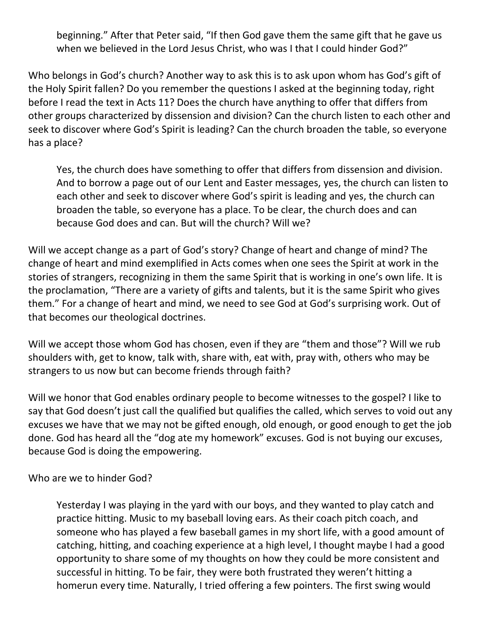beginning." After that Peter said, "If then God gave them the same gift that he gave us when we believed in the Lord Jesus Christ, who was I that I could hinder God?"

Who belongs in God's church? Another way to ask this is to ask upon whom has God's gift of the Holy Spirit fallen? Do you remember the questions I asked at the beginning today, right before I read the text in Acts 11? Does the church have anything to offer that differs from other groups characterized by dissension and division? Can the church listen to each other and seek to discover where God's Spirit is leading? Can the church broaden the table, so everyone has a place?

Yes, the church does have something to offer that differs from dissension and division. And to borrow a page out of our Lent and Easter messages, yes, the church can listen to each other and seek to discover where God's spirit is leading and yes, the church can broaden the table, so everyone has a place. To be clear, the church does and can because God does and can. But will the church? Will we?

Will we accept change as a part of God's story? Change of heart and change of mind? The change of heart and mind exemplified in Acts comes when one sees the Spirit at work in the stories of strangers, recognizing in them the same Spirit that is working in one's own life. It is the proclamation, "There are a variety of gifts and talents, but it is the same Spirit who gives them." For a change of heart and mind, we need to see God at God's surprising work. Out of that becomes our theological doctrines.

Will we accept those whom God has chosen, even if they are "them and those"? Will we rub shoulders with, get to know, talk with, share with, eat with, pray with, others who may be strangers to us now but can become friends through faith?

Will we honor that God enables ordinary people to become witnesses to the gospel? I like to say that God doesn't just call the qualified but qualifies the called, which serves to void out any excuses we have that we may not be gifted enough, old enough, or good enough to get the job done. God has heard all the "dog ate my homework" excuses. God is not buying our excuses, because God is doing the empowering.

Who are we to hinder God?

Yesterday I was playing in the yard with our boys, and they wanted to play catch and practice hitting. Music to my baseball loving ears. As their coach pitch coach, and someone who has played a few baseball games in my short life, with a good amount of catching, hitting, and coaching experience at a high level, I thought maybe I had a good opportunity to share some of my thoughts on how they could be more consistent and successful in hitting. To be fair, they were both frustrated they weren't hitting a homerun every time. Naturally, I tried offering a few pointers. The first swing would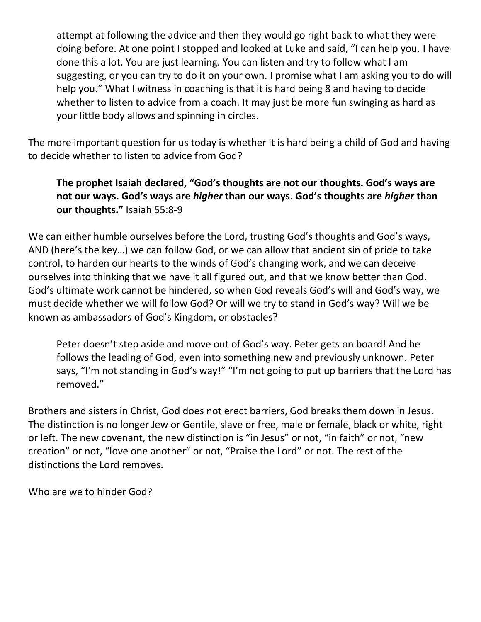attempt at following the advice and then they would go right back to what they were doing before. At one point I stopped and looked at Luke and said, "I can help you. I have done this a lot. You are just learning. You can listen and try to follow what I am suggesting, or you can try to do it on your own. I promise what I am asking you to do will help you." What I witness in coaching is that it is hard being 8 and having to decide whether to listen to advice from a coach. It may just be more fun swinging as hard as your little body allows and spinning in circles.

The more important question for us today is whether it is hard being a child of God and having to decide whether to listen to advice from God?

## **The prophet Isaiah declared, "God's thoughts are not our thoughts. God's ways are not our ways. God's ways are** *higher* **than our ways. God's thoughts are** *higher* **than our thoughts."** Isaiah 55:8-9

We can either humble ourselves before the Lord, trusting God's thoughts and God's ways, AND (here's the key…) we can follow God, or we can allow that ancient sin of pride to take control, to harden our hearts to the winds of God's changing work, and we can deceive ourselves into thinking that we have it all figured out, and that we know better than God. God's ultimate work cannot be hindered, so when God reveals God's will and God's way, we must decide whether we will follow God? Or will we try to stand in God's way? Will we be known as ambassadors of God's Kingdom, or obstacles?

Peter doesn't step aside and move out of God's way. Peter gets on board! And he follows the leading of God, even into something new and previously unknown. Peter says, "I'm not standing in God's way!" "I'm not going to put up barriers that the Lord has removed."

Brothers and sisters in Christ, God does not erect barriers, God breaks them down in Jesus. The distinction is no longer Jew or Gentile, slave or free, male or female, black or white, right or left. The new covenant, the new distinction is "in Jesus" or not, "in faith" or not, "new creation" or not, "love one another" or not, "Praise the Lord" or not. The rest of the distinctions the Lord removes.

Who are we to hinder God?